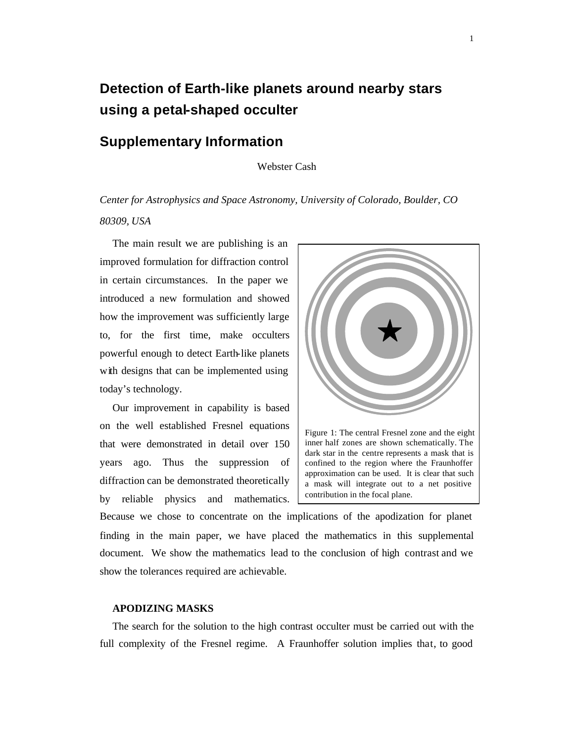# **Detection of Earth-like planets around nearby stars using a petal-shaped occulter**

### **Supplementary Information**

### Webster Cash

## *Center for Astrophysics and Space Astronomy, University of Colorado, Boulder, CO 80309, USA*

The main result we are publishing is an improved formulation for diffraction control in certain circumstances. In the paper we introduced a new formulation and showed how the improvement was sufficiently large to, for the first time, make occulters powerful enough to detect Earth-like planets with designs that can be implemented using today's technology.

Our improvement in capability is based on the well established Fresnel equations that were demonstrated in detail over 150 years ago. Thus the suppression of diffraction can be demonstrated theoretically by reliable physics and mathematics.



Figure 1: The central Fresnel zone and the eight inner half zones are shown schematically. The dark star in the centre represents a mask that is confined to the region where the Fraunhoffer approximation can be used. It is clear that such a mask will integrate out to a net positive contribution in the focal plane.

Because we chose to concentrate on the implications of the apodization for planet finding in the main paper, we have placed the mathematics in this supplemental document. We show the mathematics lead to the conclusion of high contrast and we show the tolerances required are achievable.

### **APODIZING MASKS**

The search for the solution to the high contrast occulter must be carried out with the full complexity of the Fresnel regime. A Fraunhoffer solution implies that, to good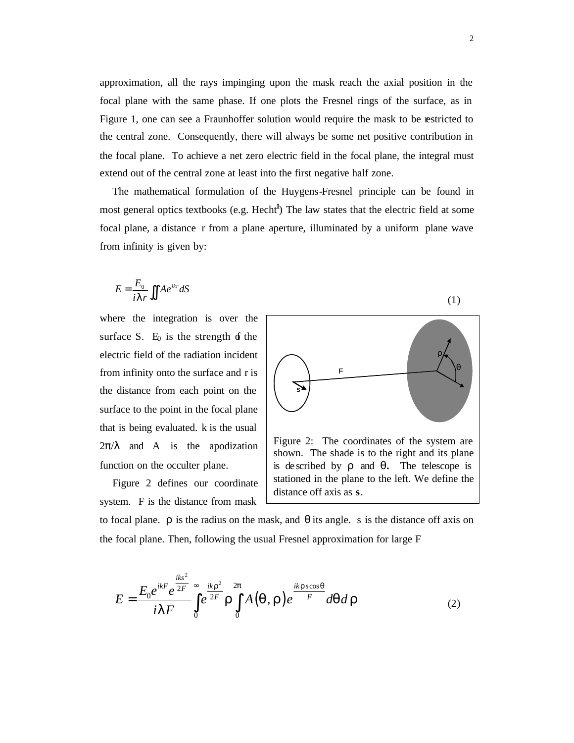approximation, all the rays impinging upon the mask reach the axial position in the focal plane with the same phase. If one plots the Fresnel rings of the surface, as in Figure 1, one can see a Fraunhoffer solution would require the mask to be restricted to the central zone. Consequently, there will always be some net positive contribution in the focal plane. To achieve a net zero electric field in the focal plane, the integral must extend out of the central zone at least into the first negative half zone.

The mathematical formulation of the Huygens-Fresnel principle can be found in most general optics textbooks (e.g. Hecht<sup>1</sup>) The law states that the electric field at some focal plane, a distance r from a plane aperture, illuminated by a uniform plane wave from infinity is given by:

$$
E = \frac{E_0}{i \, I \, r} \iint A e^{ikr} \, dS \tag{1}
$$

where the integration is over the surface S.  $E_0$  is the strength of the electric field of the radiation incident from infinity onto the surface and r is the distance from each point on the surface to the point in the focal plane that is being evaluated. k is the usual  $2\pi/\lambda$  and A is the apodization function on the occulter plane.

Figure 2 defines our coordinate system. F is the distance from mask



Figure 2: The coordinates of the system are shown. The shade is to the right and its plane is de scribed by **r** and **q.** The telescope is stationed in the plane to the left. We define the distance off axis as **s**.

to focal plane.  $\rho$  is the radius on the mask, and  $\theta$  its angle. s is the distance off axis on the focal plane. Then, following the usual Fresnel approximation for large F

$$
E = \frac{E_0 e^{ikF} e^{\frac{iks^2}{2F}}}{i\mathbf{I} F} \int\limits_0^\infty e^{\frac{ik\mathbf{r}^2}{2F}} \mathbf{r} \int\limits_0^{2p} A(\mathbf{q}, \mathbf{r}) e^{\frac{ikrscos\mathbf{q}}{F}} d\mathbf{q} d\mathbf{r}
$$
 (2)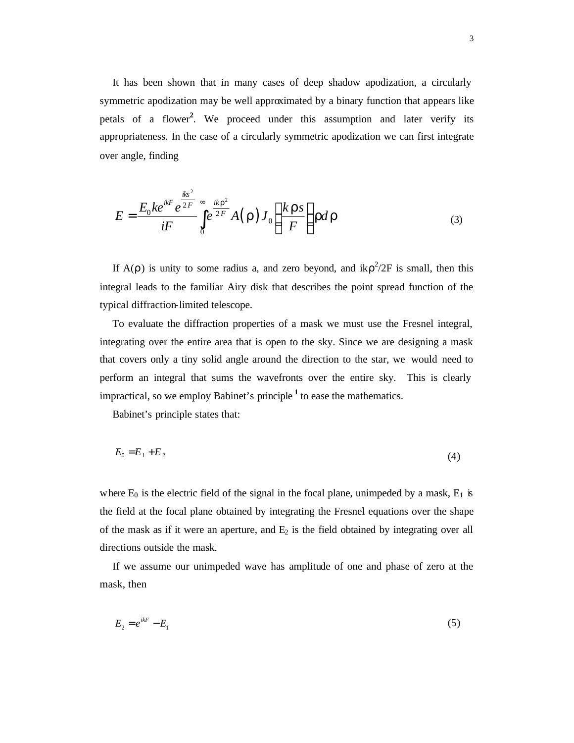It has been shown that in many cases of deep shadow apodization, a circularly symmetric apodization may be well approximated by a binary function that appears like petals of a flower**<sup>2</sup>** . We proceed under this assumption and later verify its appropriateness. In the case of a circularly symmetric apodization we can first integrate over angle, finding

$$
E = \frac{E_0 k e^{ikF} e^{\frac{iks^2}{2F}}}{iF} \int_0^{\infty} e^{\frac{ikr^2}{2F}} A(\mathbf{r}) J_0\left(\frac{k\mathbf{r}s}{F}\right) r d\mathbf{r}
$$
 (3)

If A( $\rho$ ) is unity to some radius a, and zero beyond, and  $ik\rho^2/2F$  is small, then this integral leads to the familiar Airy disk that describes the point spread function of the typical diffraction-limited telescope.

To evaluate the diffraction properties of a mask we must use the Fresnel integral, integrating over the entire area that is open to the sky. Since we are designing a mask that covers only a tiny solid angle around the direction to the star, we would need to perform an integral that sums the wavefronts over the entire sky. This is clearly impractical, so we employ Babinet's principle **<sup>1</sup>** to ease the mathematics.

Babinet's principle states that:

$$
E_0 = E_1 + E_2 \tag{4}
$$

where  $E_0$  is the electric field of the signal in the focal plane, unimpeded by a mask,  $E_1$  is the field at the focal plane obtained by integrating the Fresnel equations over the shape of the mask as if it were an aperture, and  $E_2$  is the field obtained by integrating over all directions outside the mask.

If we assume our unimpeded wave has amplitude of one and phase of zero at the mask, then

$$
E_2 = e^{ikF} - E_1 \tag{5}
$$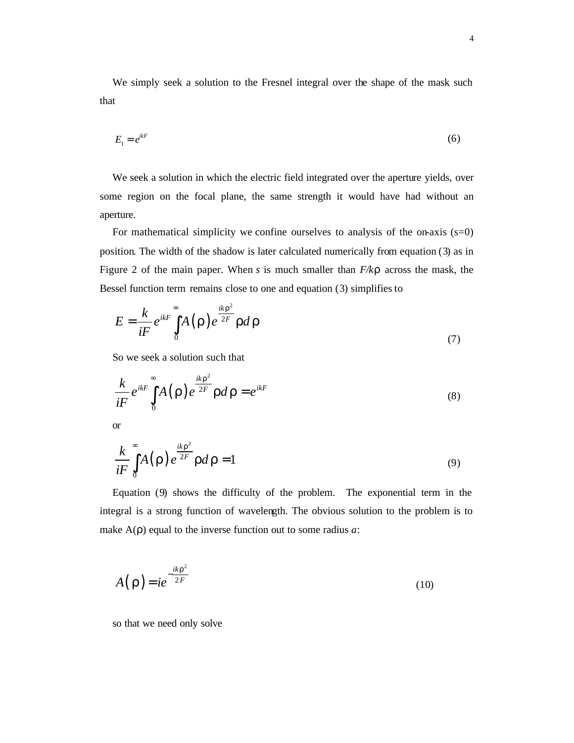We simply seek a solution to the Fresnel integral over the shape of the mask such that

$$
E_1 = e^{ikF} \tag{6}
$$

We seek a solution in which the electric field integrated over the aperture yields, over some region on the focal plane, the same strength it would have had without an aperture.

For mathematical simplicity we confine ourselves to analysis of the on-axis  $(s=0)$ position. The width of the shadow is later calculated numerically from equation (3) as in Figure 2 of the main paper. When *s* is much smaller than *F/kr* across the mask, the Bessel function term remains close to one and equation (3) simplifies to

$$
E = \frac{k}{iF} e^{ikF} \int_{0}^{\infty} A(\mathbf{r}) e^{\frac{ik\mathbf{r}^{2}}{2F}} \mathbf{r} d\mathbf{r}
$$
\n(7)

So we seek a solution such that

$$
\frac{k}{iF}e^{ikF}\int_{0}^{\infty}A(\mathbf{r})e^{\frac{ik\mathbf{r}^{2}}{2F}}\mathbf{r}d\mathbf{r}=e^{ikF}
$$
\n(8)

or

$$
\frac{k}{iF} \int_{0}^{\infty} A(\mathbf{r}) e^{\frac{ik\mathbf{r}^2}{2F}} \mathbf{r} d\mathbf{r} = 1
$$
\n(9)

Equation (9) shows the difficulty of the problem. The exponential term in the integral is a strong function of wavelength. The obvious solution to the problem is to make A(ρ) equal to the inverse function out to some radius *a*:

$$
A(\mathbf{r}) = ie^{-\frac{ik\mathbf{r}^2}{2F}}
$$
 (10)

so that we need only solve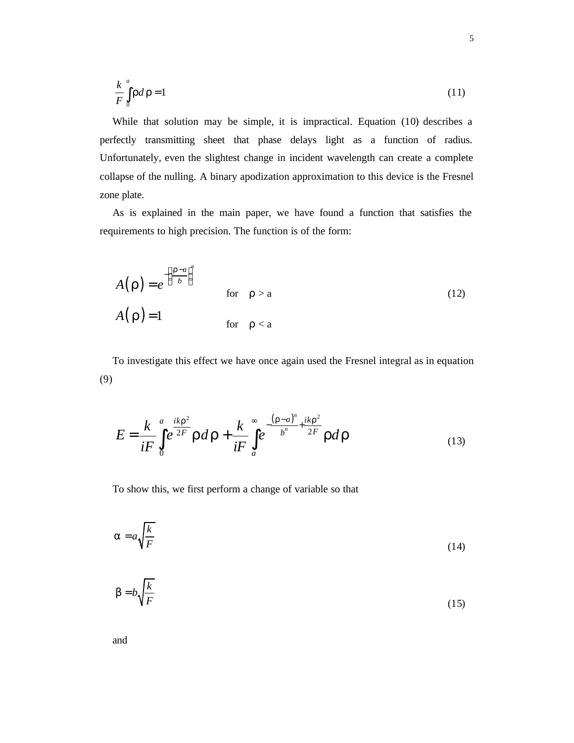$$
\frac{k}{F} \int_{0}^{a} r dr = 1 \tag{11}
$$

While that solution may be simple, it is impractical. Equation (10) describes a perfectly transmitting sheet that phase delays light as a function of radius. Unfortunately, even the slightest change in incident wavelength can create a complete collapse of the nulling. A binary apodization approximation to this device is the Fresnel zone plate.

As is explained in the main paper, we have found a function that satisfies the requirements to high precision. The function is of the form:

$$
A(\mathbf{r}) = e^{-\left(\frac{\mathbf{r}-a}{b}\right)^n} \quad \text{for} \quad \rho > a
$$
\n
$$
A(\mathbf{r}) = 1 \quad \text{for} \quad \rho < a
$$
\n(12)

To investigate this effect we have once again used the Fresnel integral as in equation (9)

$$
E = \frac{k}{iF} \int_{0}^{a} e^{\frac{ikr^{2}}{2F}} r dr + \frac{k}{iF} \int_{a}^{\infty} e^{-\frac{(r-a)^{n}}{b^{n}} + \frac{ikr^{2}}{2F}} r dr
$$
 (13)

To show this, we first perform a change of variable so that

$$
a = a \sqrt{\frac{k}{F}}
$$
 (14)

$$
\mathbf{b} = b \sqrt{\frac{k}{F}} \tag{15}
$$

and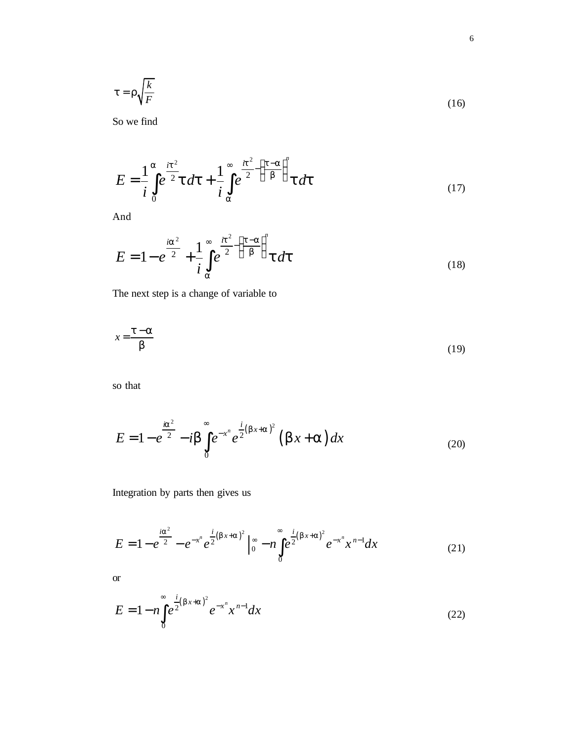$$
t = r\sqrt{\frac{k}{F}}
$$
 (16)

So we find

$$
E = \frac{1}{i} \int_{0}^{a} e^{\frac{it^{2}}{2}} t dt + \frac{1}{i} \int_{a}^{\infty} e^{\frac{it^{2}}{2} - \left(\frac{t-a}{b}\right)^{n}} t dt
$$
 (17)

And

$$
E = 1 - e^{\frac{i a^2}{2}} + \frac{1}{i} \int_{a}^{\infty} e^{\frac{i t^2}{2} - \left(\frac{t - a}{b}\right)^n} t \, dt \tag{18}
$$

The next step is a change of variable to

$$
x = \frac{t - a}{b} \tag{19}
$$

so that

$$
E = 1 - e^{\frac{ia^2}{2}} - i\mathbf{b} \int_{0}^{\infty} e^{-x^n} e^{\frac{i}{2}(bx+a)^2} (\mathbf{b}x + \mathbf{a}) dx
$$
 (20)

Integration by parts then gives us

$$
E = 1 - e^{\frac{i a^2}{2}} - e^{-x^n} e^{\frac{i}{2}(bx+a)^2} \Big|_0^{\infty} - n \int_0^{\infty} e^{\frac{i}{2}(bx+a)^2} e^{-x^n} x^{n-1} dx \tag{21}
$$

or

$$
E = 1 - n \int_{0}^{\infty} e^{\frac{i}{2}(bx+a)^2} e^{-x^n} x^{n-1} dx
$$
 (22)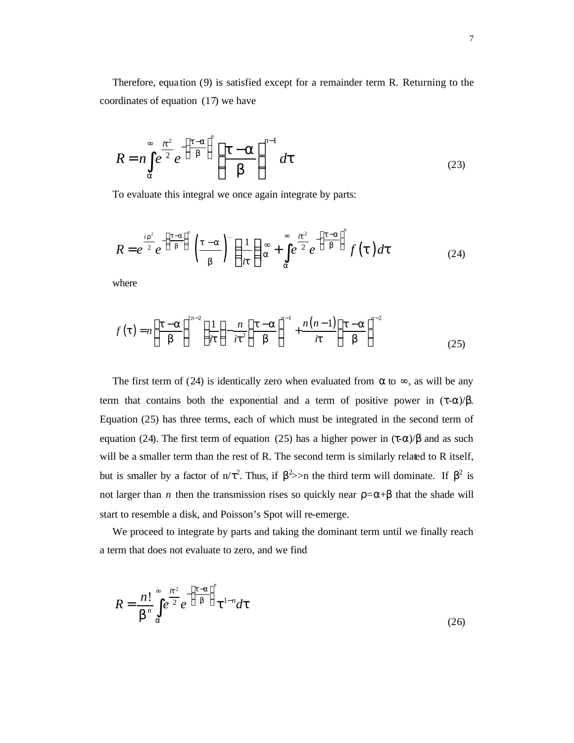Therefore, equa tion (9) is satisfied except for a remainder term R. Returning to the coordinates of equation (17) we have

$$
R = n \int_{a}^{\infty} e^{\frac{it^2}{2}} e^{-\left(\frac{t-a}{b}\right)^n} \left(\frac{t-a}{b}\right)^{n-1} dt
$$
 (23)

To evaluate this integral we once again integrate by parts:

$$
R = e^{\frac{i r^2}{2}} e^{-\left(\frac{t-a}{b}\right)^n} \left(\frac{t-a}{b}\right)^n \left(\frac{1}{it}\right) \approx + \int_a^\infty e^{\frac{it^2}{2}} e^{-\left(\frac{t-a}{b}\right)^n} f(t) dt \tag{24}
$$

where

$$
f\left(\boldsymbol{t}\right) = n\left(\frac{\boldsymbol{t}-\boldsymbol{a}}{\boldsymbol{b}}\right)^{2n-2} \left(\frac{1}{i\boldsymbol{t}}\right) - \frac{n}{i\boldsymbol{t}^2} \left(\frac{\boldsymbol{t}-\boldsymbol{a}}{\boldsymbol{b}}\right)^{n-1} + \frac{n(n-1)}{i\boldsymbol{t}} \left(\frac{\boldsymbol{t}-\boldsymbol{a}}{\boldsymbol{b}}\right)^{n-2} \tag{25}
$$

The first term of (24) is identically zero when evaluated from  $\alpha$  to  $\infty$ , as will be any term that contains both the exponential and a term of positive power in  $(\tau-\alpha)/\beta$ . Equation (25) has three terms, each of which must be integrated in the second term of equation (24). The first term of equation (25) has a higher power in  $(τ-α)/β$  and as such will be a smaller term than the rest of R. The second term is similarly related to R itself, but is smaller by a factor of n/τ<sup>2</sup>. Thus, if  $\beta^2$ >n the third term will dominate. If  $\beta^2$  is not larger than *n* then the transmission rises so quickly near  $\rho = \alpha + \beta$  that the shade will start to resemble a disk, and Poisson's Spot will re-emerge.

We proceed to integrate by parts and taking the dominant term until we finally reach a term that does not evaluate to zero, and we find

$$
R = \frac{n!}{b^n} \int_{a}^{\infty} e^{\frac{it^2}{2}} e^{-\left(\frac{t-a}{b}\right)^n} t^{1-n} dt
$$
\n(26)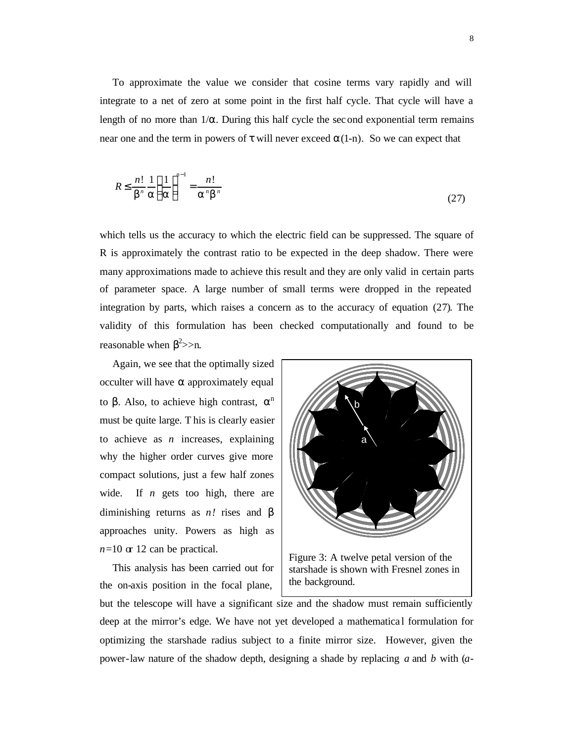To approximate the value we consider that cosine terms vary rapidly and will integrate to a net of zero at some point in the first half cycle. That cycle will have a length of no more than  $1/\alpha$ . During this half cycle the second exponential term remains near one and the term in powers of  $\tau$  will never exceed  $\alpha(1-n)$ . So we can expect that

$$
R \le \frac{n!}{b^n} \frac{1}{a} \left(\frac{1}{a}\right)^{n-1} = \frac{n!}{a^n b^n}
$$
 (27)

which tells us the accuracy to which the electric field can be suppressed. The square of R is approximately the contrast ratio to be expected in the deep shadow. There were many approximations made to achieve this result and they are only valid in certain parts of parameter space. A large number of small terms were dropped in the repeated integration by parts, which raises a concern as to the accuracy of equation (27). The validity of this formulation has been checked computationally and found to be reasonable when  $\beta^2$ >>n.

Again, we see that the optimally sized occulter will have α approximately equal to β. Also, to achieve high contrast,  $\alpha^n$ must be quite large. T his is clearly easier to achieve as *n* increases, explaining why the higher order curves give more compact solutions, just a few half zones wide. If *n* gets too high, there are diminishing returns as *n!* rises and β approaches unity. Powers as high as *n*=10 or 12 can be practical.

This analysis has been carried out for the on-axis position in the focal plane,



Figure 3: A twelve petal version of the starshade is shown with Fresnel zones in the background.

but the telescope will have a significant size and the shadow must remain sufficiently deep at the mirror's edge. We have not yet developed a mathematica l formulation for optimizing the starshade radius subject to a finite mirror size. However, given the power-law nature of the shadow depth, designing a shade by replacing *a* and *b* with (*a*-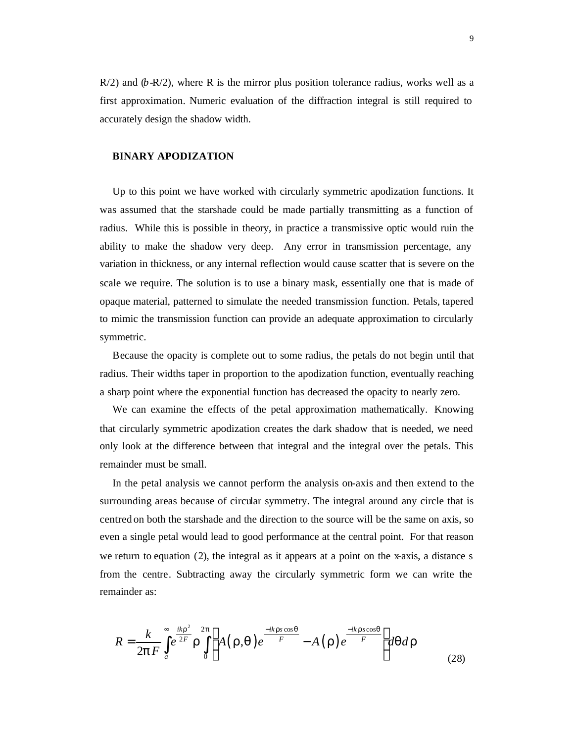$R/2$ ) and  $(b-R/2)$ , where R is the mirror plus position tolerance radius, works well as a first approximation. Numeric evaluation of the diffraction integral is still required to accurately design the shadow width.

#### **BINARY APODIZATION**

Up to this point we have worked with circularly symmetric apodization functions. It was assumed that the starshade could be made partially transmitting as a function of radius. While this is possible in theory, in practice a transmissive optic would ruin the ability to make the shadow very deep. Any error in transmission percentage, any variation in thickness, or any internal reflection would cause scatter that is severe on the scale we require. The solution is to use a binary mask, essentially one that is made of opaque material, patterned to simulate the needed transmission function. Petals, tapered to mimic the transmission function can provide an adequate approximation to circularly symmetric.

Because the opacity is complete out to some radius, the petals do not begin until that radius. Their widths taper in proportion to the apodization function, eventually reaching a sharp point where the exponential function has decreased the opacity to nearly zero.

We can examine the effects of the petal approximation mathematically. Knowing that circularly symmetric apodization creates the dark shadow that is needed, we need only look at the difference between that integral and the integral over the petals. This remainder must be small.

In the petal analysis we cannot perform the analysis on-axis and then extend to the surrounding areas because of circular symmetry. The integral around any circle that is centred on both the starshade and the direction to the source will be the same on axis, so even a single petal would lead to good performance at the central point. For that reason we return to equation (2), the integral as it appears at a point on the x-axis, a distance s from the centre. Subtracting away the circularly symmetric form we can write the remainder as:

$$
R = \frac{k}{2pF} \int_{a}^{\infty} e^{\frac{ikr^2}{2F}} r \int_{0}^{2p} \left[ A(r,q) e^{\frac{-ikrs\cos q}{F}} - A(r) e^{\frac{-ikrs\cos q}{F}} \right] dq dr \tag{28}
$$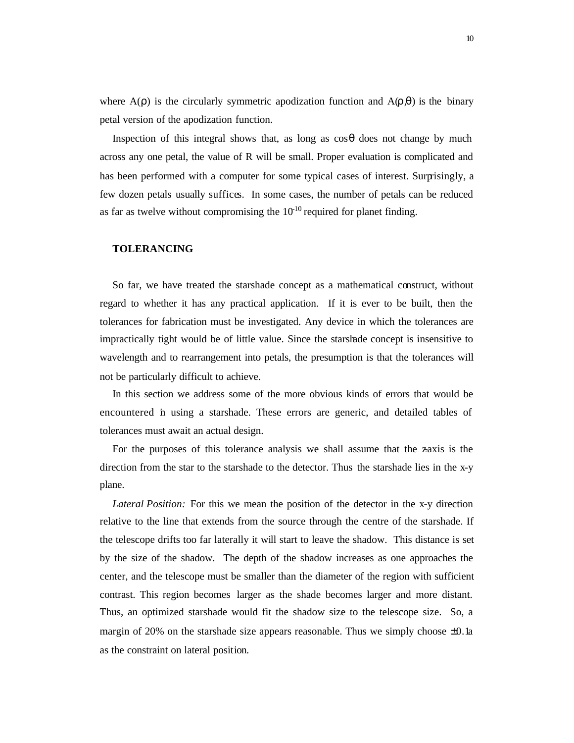where  $A(\rho)$  is the circularly symmetric apodization function and  $A(\rho,\theta)$  is the binary petal version of the apodization function.

Inspection of this integral shows that, as long as  $\cos\theta$  does not change by much across any one petal, the value of R will be small. Proper evaluation is complicated and has been performed with a computer for some typical cases of interest. Surprisingly, a few dozen petals usually suffices. In some cases, the number of petals can be reduced as far as twelve without compromising the  $10^{-10}$  required for planet finding.

#### **TOLERANCING**

So far, we have treated the starshade concept as a mathematical construct, without regard to whether it has any practical application. If it is ever to be built, then the tolerances for fabrication must be investigated. Any device in which the tolerances are impractically tight would be of little value. Since the starshade concept is insensitive to wavelength and to rearrangement into petals, the presumption is that the tolerances will not be particularly difficult to achieve.

In this section we address some of the more obvious kinds of errors that would be encountered in using a starshade. These errors are generic, and detailed tables of tolerances must await an actual design.

For the purposes of this tolerance analysis we shall assume that the zaxis is the direction from the star to the starshade to the detector. Thus the starshade lies in the x-y plane.

*Lateral Position:* For this we mean the position of the detector in the x-y direction relative to the line that extends from the source through the centre of the starshade. If the telescope drifts too far laterally it will start to leave the shadow. This distance is set by the size of the shadow. The depth of the shadow increases as one approaches the center, and the telescope must be smaller than the diameter of the region with sufficient contrast. This region becomes larger as the shade becomes larger and more distant. Thus, an optimized starshade would fit the shadow size to the telescope size. So, a margin of 20% on the starshade size appears reasonable. Thus we simply choose  $\pm 0.1$ a as the constraint on lateral position.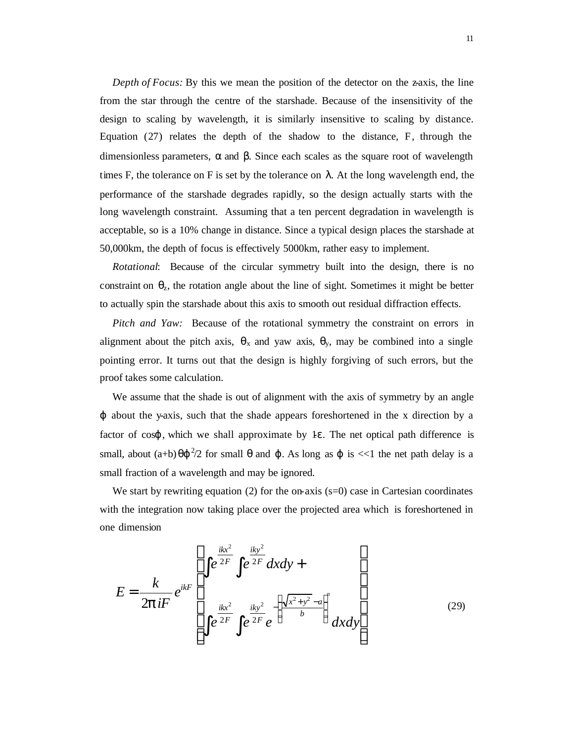*Depth of Focus:* By this we mean the position of the detector on the z-axis, the line from the star through the centre of the starshade. Because of the insensitivity of the design to scaling by wavelength, it is similarly insensitive to scaling by distance. Equation (27) relates the depth of the shadow to the distance, F, through the dimensionless parameters, α and β. Since each scales as the square root of wavelength times F, the tolerance on F is set by the tolerance on  $\lambda$ . At the long wavelength end, the performance of the starshade degrades rapidly, so the design actually starts with the long wavelength constraint. Assuming that a ten percent degradation in wavelength is acceptable, so is a 10% change in distance. Since a typical design places the starshade at 50,000km, the depth of focus is effectively 5000km, rather easy to implement.

*Rotational*: Because of the circular symmetry built into the design, there is no constraint on  $\theta_z$ , the rotation angle about the line of sight. Sometimes it might be better to actually spin the starshade about this axis to smooth out residual diffraction effects.

*Pitch and Yaw:* Because of the rotational symmetry the constraint on errors in alignment about the pitch axis,  $\theta_x$  and yaw axis,  $\theta_y$ , may be combined into a single pointing error. It turns out that the design is highly forgiving of such errors, but the proof takes some calculation.

We assume that the shade is out of alignment with the axis of symmetry by an angle ϕ about the y-axis, such that the shade appears foreshortened in the x direction by a factor of  $\cos\varphi$ , which we shall approximate by 1 $\varepsilon$ . The net optical path difference is small, about  $(a+b) \theta \varphi^2/2$  for small  $\theta$  and  $\varphi$ . As long as  $\varphi$  is  $<<1$  the net path delay is a small fraction of a wavelength and may be ignored.

We start by rewriting equation (2) for the on-axis  $(s=0)$  case in Cartesian coordinates with the integration now taking place over the projected area which is foreshortened in one dimension

$$
E = \frac{k}{2\mathbf{p}iF} e^{ikF} \left[ \int e^{\frac{ikx^2}{2F}} \int e^{\frac{iky^2}{2F}} dx dy + \int e^{\frac{iky^2}{2F}} e^{-\left(\frac{\sqrt{x^2 + y^2} - a}{b}\right)^n} dx dy \right]
$$
(29)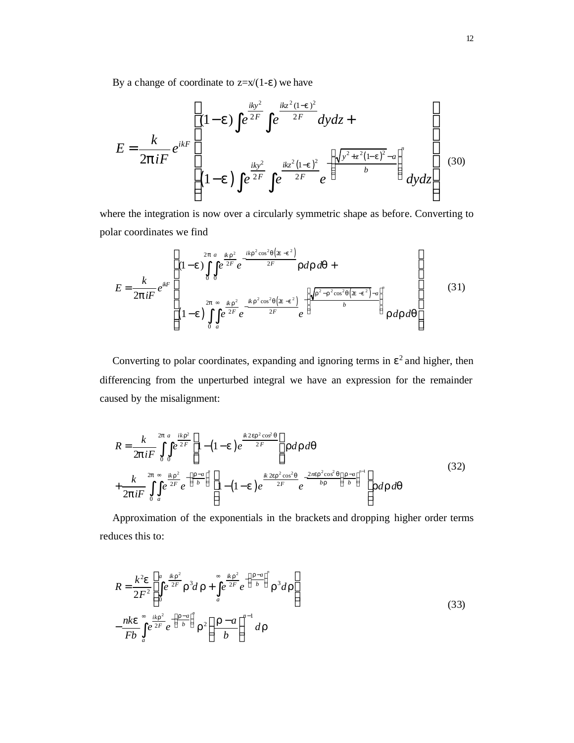By a change of coordinate to  $z=x/(1-\epsilon)$  we have

$$
E = \frac{k}{2\mathbf{p}iF} e^{ikF} \left[ (1-\mathbf{e}) \int e^{\frac{iky^2}{2F}} \int e^{\frac{ikz^2(1-\mathbf{e})^2}{2F}} dy dz + \frac{1}{2\mathbf{p}iF} e^{ikF} \left[ (1-\mathbf{e}) \int e^{\frac{iky^2}{2F}} \int e^{\frac{ikz^2(1-\mathbf{e})^2}{2F}} e^{-\left( \frac{\sqrt{y^2+z^2(1-\mathbf{e})^2} - a}{b} \right)^n} dy dz \right] \tag{30}
$$

where the integration is now over a circularly symmetric shape as before. Converting to polar coordinates we find

$$
E = \frac{k}{2\mathbf{p}iF} e^{ikF} \left[ (1-\mathbf{e}) \int_{0}^{2\mathbf{p}} \int_{0}^{\alpha} e^{\frac{ik\mathbf{r}^{2}}{2F}} e^{-\frac{ikr^{2}\cos^{2}q(\mathbf{\hat{x}}-\mathbf{e}^{2})}{2F}} \mathbf{r} d\mathbf{r} d\mathbf{q} + \frac{1}{2\mathbf{p}iF} e^{ikF} \left[ (1-\mathbf{e}) \int_{0}^{2\mathbf{p}} \int_{\alpha}^{\infty} e^{\frac{ik\mathbf{r}^{2}}{2F}} e^{-\frac{ikr^{2}\cos^{2}q(\mathbf{\hat{x}}-\mathbf{e}^{2})}{2F}} e^{-\frac{\left(\sqrt{r^{2}-r^{2}\cos^{2}q(\mathbf{\hat{x}}-\mathbf{e}^{2})}-a\right)^{n}}{b}} \mathbf{r} d\mathbf{r} d\mathbf{q} \right] \tag{31}
$$

Converting to polar coordinates, expanding and ignoring terms in  $\epsilon^2$  and higher, then differencing from the unperturbed integral we have an expression for the remainder caused by the misalignment:

$$
R = \frac{k}{2\mathbf{p}iF} \int_{0}^{2\mathbf{p}} \int_{0}^{\frac{ik\mathbf{r}^{2}}{2F}} \left[1 - (1 - \mathbf{e})e^{\frac{ik2\mathbf{e}r^{2}\cos^{2}\mathbf{q}}{2F}}\right] \mathbf{r} d\mathbf{r} d\mathbf{q}
$$
  
+ 
$$
\frac{k}{2\mathbf{p}iF} \int_{0}^{2\mathbf{p}} \int_{a}^{\infty} e^{\frac{ik\mathbf{r}^{2}}{2F}} e^{-\left(\frac{\mathbf{r}-a}{b}\right)^{n}} \left[1 - (1 - \mathbf{e})e^{\frac{ik2\mathbf{e}r^{2}\cos^{2}\mathbf{q}}{2F}} e^{-\frac{2n\mathbf{e}r^{2}\cos^{2}\mathbf{q}}{br}}\right] \mathbf{r} d\mathbf{r} d\mathbf{q}
$$
(32)

Approximation of the exponentials in the brackets and dropping higher order terms reduces this to:

$$
R = \frac{k^2 e}{2F^2} \left[ \int_0^a e^{\frac{ikr^2}{2F}} r^3 d\mathbf{r} + \int_a^{\infty} e^{\frac{ikr^2}{2F}} e^{-\left(\frac{r-a}{b}\right)^n} r^3 d\mathbf{r} \right]
$$
  

$$
- \frac{n k e}{F b} \int_a^{\infty} e^{\frac{ikr^2}{2F}} e^{-\left(\frac{r-a}{b}\right)^n} r^2 \left(\frac{r-a}{b}\right)^{n-1} dr
$$
 (33)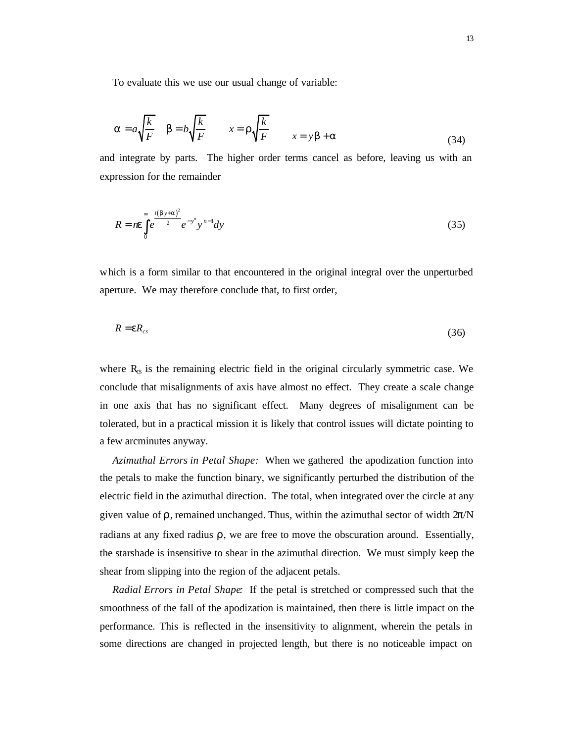To evaluate this we use our usual change of variable:

$$
\mathbf{a} = a \sqrt{\frac{k}{F}} \quad \mathbf{b} = b \sqrt{\frac{k}{F}} \qquad x = r \sqrt{\frac{k}{F}} \qquad x = y \mathbf{b} + \mathbf{a}
$$
 (34)

and integrate by parts. The higher order terms cancel as before, leaving us with an expression for the remainder

$$
R = n e \int_{0}^{\infty} e^{\frac{i(by+a)^2}{2}} e^{-y^n} y^{n-1} dy
$$
\n(35)

which is a form similar to that encountered in the original integral over the unperturbed aperture. We may therefore conclude that, to first order,

$$
R = eR_{cs} \tag{36}
$$

where  $R_{\rm s}$  is the remaining electric field in the original circularly symmetric case. We conclude that misalignments of axis have almost no effect. They create a scale change in one axis that has no significant effect. Many degrees of misalignment can be tolerated, but in a practical mission it is likely that control issues will dictate pointing to a few arcminutes anyway.

*Azimuthal Errors in Petal Shape:* When we gathered the apodization function into the petals to make the function binary, we significantly perturbed the distribution of the electric field in the azimuthal direction. The total, when integrated over the circle at any given value of  $ρ$ , remained unchanged. Thus, within the azimuthal sector of width  $2π/N$ radians at any fixed radius  $\rho$ , we are free to move the obscuration around. Essentially, the starshade is insensitive to shear in the azimuthal direction. We must simply keep the shear from slipping into the region of the adjacent petals.

*Radial Errors in Petal Shape:* If the petal is stretched or compressed such that the smoothness of the fall of the apodization is maintained, then there is little impact on the performance. This is reflected in the insensitivity to alignment, wherein the petals in some directions are changed in projected length, but there is no noticeable impact on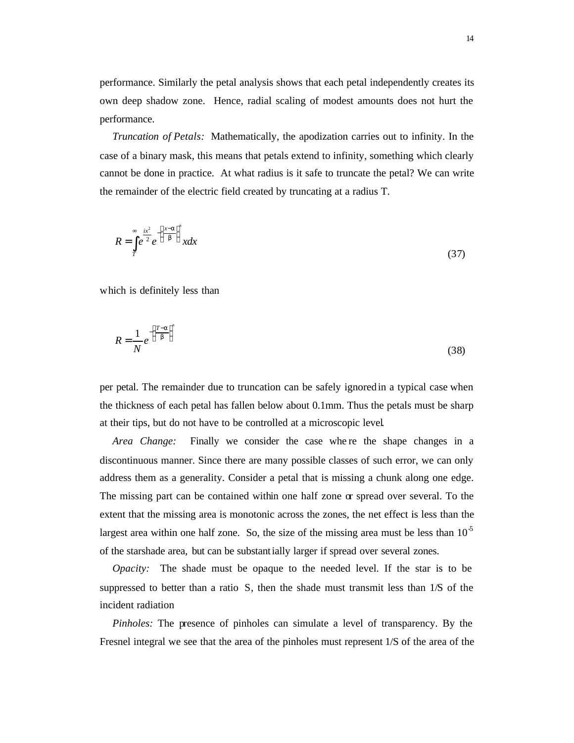performance. Similarly the petal analysis shows that each petal independently creates its own deep shadow zone. Hence, radial scaling of modest amounts does not hurt the performance.

*Truncation of Petals:* Mathematically, the apodization carries out to infinity. In the case of a binary mask, this means that petals extend to infinity, something which clearly cannot be done in practice. At what radius is it safe to truncate the petal? We can write the remainder of the electric field created by truncating at a radius T.

$$
R = \int_{T}^{\infty} e^{\frac{ix^2}{2}} e^{-\left(\frac{x-a}{b}\right)^n} x dx
$$
\n(37)

which is definitely less than

$$
R = \frac{1}{N} e^{-\left(\frac{T - a}{b}\right)^n}
$$
\n(38)

per petal. The remainder due to truncation can be safely ignored in a typical case when the thickness of each petal has fallen below about 0.1mm. Thus the petals must be sharp at their tips, but do not have to be controlled at a microscopic level.

*Area Change:* Finally we consider the case where the shape changes in a discontinuous manner. Since there are many possible classes of such error, we can only address them as a generality. Consider a petal that is missing a chunk along one edge. The missing part can be contained within one half zone  $\alpha$  spread over several. To the extent that the missing area is monotonic across the zones, the net effect is less than the largest area within one half zone. So, the size of the missing area must be less than  $10<sup>5</sup>$ of the starshade area, but can be substantially larger if spread over several zones.

*Opacity:* The shade must be opaque to the needed level. If the star is to be suppressed to better than a ratio S, then the shade must transmit less than 1/S of the incident radiation

*Pinholes:* The presence of pinholes can simulate a level of transparency. By the Fresnel integral we see that the area of the pinholes must represent 1/S of the area of the